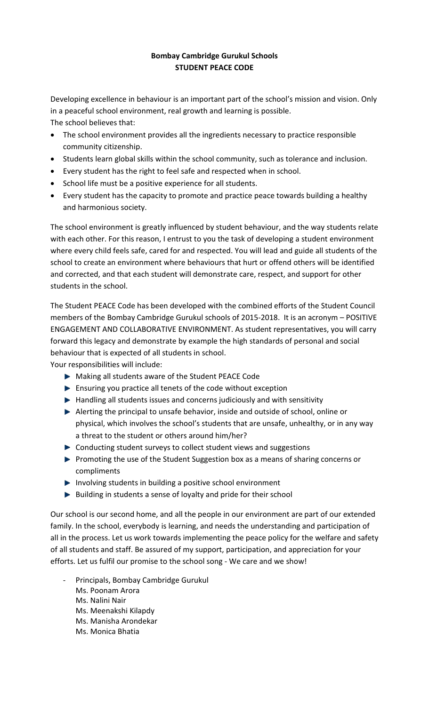## **Bombay Cambridge Gurukul Schools STUDENT PEACE CODE**

Developing excellence in behaviour is an important part of the school's mission and vision. Only in a peaceful school environment, real growth and learning is possible. The school believes that:

- The school environment provides all the ingredients necessary to practice responsible community citizenship.
- Students learn global skills within the school community, such as tolerance and inclusion.
- Every student has the right to feel safe and respected when in school.
- School life must be a positive experience for all students.
- Every student has the capacity to promote and practice peace towards building a healthy and harmonious society.

The school environment is greatly influenced by student behaviour, and the way students relate with each other. For this reason, I entrust to you the task of developing a student environment where every child feels safe, cared for and respected. You will lead and guide all students of the school to create an environment where behaviours that hurt or offend others will be identified and corrected, and that each student will demonstrate care, respect, and support for other students in the school.

The Student PEACE Code has been developed with the combined efforts of the Student Council members of the Bombay Cambridge Gurukul schools of 2015-2018. It is an acronym – POSITIVE ENGAGEMENT AND COLLABORATIVE ENVIRONMENT. As student representatives, you will carry forward this legacy and demonstrate by example the high standards of personal and social behaviour that is expected of all students in school.

Your responsibilities will include:

- Making all students aware of the Student PEACE Code
- $\blacktriangleright$  Ensuring you practice all tenets of the code without exception
- Handling all students issues and concerns judiciously and with sensitivity
- Alerting the principal to unsafe behavior, inside and outside of school, online or physical, which involves the school's students that are unsafe, unhealthy, or in any way a threat to the student or others around him/her?
- Conducting student surveys to collect student views and suggestions
- **Promoting the use of the Student Suggestion box as a means of sharing concerns or** compliments
- Involving students in building a positive school environment
- Building in students a sense of loyalty and pride for their school

Our school is our second home, and all the people in our environment are part of our extended family. In the school, everybody is learning, and needs the understanding and participation of all in the process. Let us work towards implementing the peace policy for the welfare and safety of all students and staff. Be assured of my support, participation, and appreciation for your efforts. Let us fulfil our promise to the school song - We care and we show!

- Principals, Bombay Cambridge Gurukul
	- Ms. Poonam Arora
	- Ms. Nalini Nair
	- Ms. Meenakshi Kilapdy
	- Ms. Manisha Arondekar
	- Ms. Monica Bhatia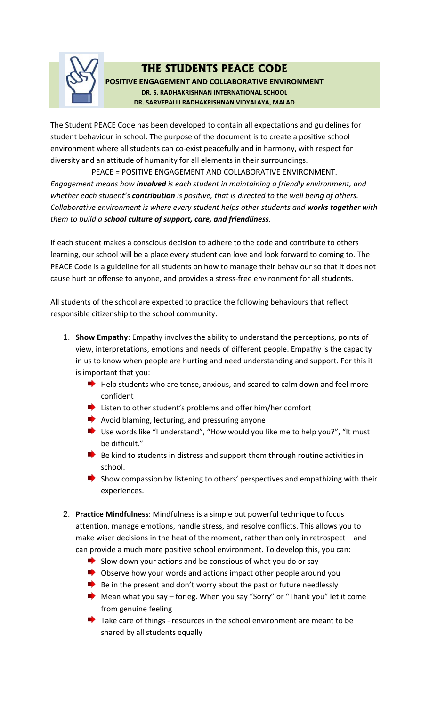

# **THE STUDENTS PEACE CODE**

**POSITIVE ENGAGEMENT AND COLLABORATIVE ENVIRONMENT DR. S. RADHAKRISHNAN INTERNATIONAL SCHOOL DR. SARVEPALLI RADHAKRISHNAN VIDYALAYA, MALAD**

The Student PEACE Code has been developed to contain all expectations and guidelines for student behaviour in school. The purpose of the document is to create a positive school environment where all students can co-exist peacefully and in harmony, with respect for diversity and an attitude of humanity for all elements in their surroundings.

PEACE = POSITIVE ENGAGEMENT AND COLLABORATIVE ENVIRONMENT. *Engagement means how involved is each student in maintaining a friendly environment, and whether each student's contribution is positive, that is directed to the well being of others. Collaborative environment is where every student helps other students and works together with them to build a school culture of support, care, and friendliness.* 

If each student makes a conscious decision to adhere to the code and contribute to others learning, our school will be a place every student can love and look forward to coming to. The PEACE Code is a guideline for all students on how to manage their behaviour so that it does not cause hurt or offense to anyone, and provides a stress-free environment for all students.

All students of the school are expected to practice the following behaviours that reflect responsible citizenship to the school community:

- 1. **Show Empathy**: Empathy involves the ability to understand the perceptions, points of view, interpretations, emotions and needs of different people. Empathy is the capacity in us to know when people are hurting and need understanding and support. For this it is important that you:
	- $\blacktriangleright$  Help students who are tense, anxious, and scared to calm down and feel more confident
	- Listen to other student's problems and offer him/her comfort
	- $\blacktriangleright$  Avoid blaming, lecturing, and pressuring anyone
	- Use words like "I understand", "How would you like me to help you?", "It must be difficult."
	- $\blacktriangleright$  Be kind to students in distress and support them through routine activities in school.
	- $\blacktriangleright$  Show compassion by listening to others' perspectives and empathizing with their experiences.
- 2. **Practice Mindfulness**: Mindfulness is a simple but powerful technique to focus attention, manage emotions, handle stress, and resolve conflicts. This allows you to make wiser decisions in the heat of the moment, rather than only in retrospect – and can provide a much more positive school environment. To develop this, you can:
	- $\blacktriangleright$  Slow down your actions and be conscious of what you do or say
	- Observe how your words and actions impact other people around you
	- $\blacktriangleright$  Be in the present and don't worry about the past or future needlessly
	- Mean what you say for eg. When you say "Sorry" or "Thank you" let it come from genuine feeling
	- $\blacktriangleright$  Take care of things resources in the school environment are meant to be shared by all students equally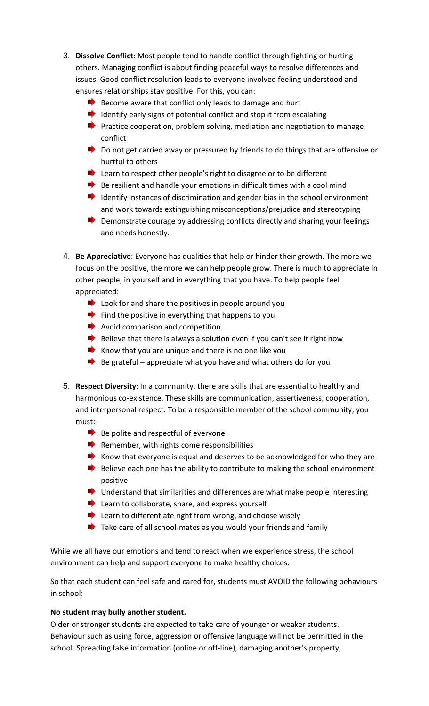- 3. **Dissolve Conflict**: Most people tend to handle conflict through fighting or hurting others. Managing conflict is about finding peaceful ways to resolve differences and issues. Good conflict resolution leads to everyone involved feeling understood and ensures relationships stay positive. For this, you can:
	- $\blacktriangleright$  Become aware that conflict only leads to damage and hurt
	- $\blacktriangleright$  Identify early signs of potential conflict and stop it from escalating
	- **Practice cooperation, problem solving, mediation and negotiation to manage** conflict
	- Do not get carried away or pressured by friends to do things that are offensive or hurtful to others
	- Learn to respect other people's right to disagree or to be different
	- $\blacktriangleright$  Be resilient and handle your emotions in difficult times with a cool mind
	- $\blacktriangleright$  Identify instances of discrimination and gender bias in the school environment and work towards extinguishing misconceptions/prejudice and stereotyping
	- $\blacktriangleright$  Demonstrate courage by addressing conflicts directly and sharing your feelings and needs honestly.
- 4. **Be Appreciative**: Everyone has qualities that help or hinder their growth. The more we focus on the positive, the more we can help people grow. There is much to appreciate in other people, in yourself and in everything that you have. To help people feel appreciated:
	- $\blacktriangleright$  Look for and share the positives in people around you
	- $\blacktriangleright$  Find the positive in everything that happens to you
	- $\rightarrow$  Avoid comparison and competition
	- $\blacktriangleright$  Believe that there is always a solution even if you can't see it right now
	- Know that you are unique and there is no one like you
	- $\blacktriangleright$  Be grateful appreciate what you have and what others do for you
- 5. **Respect Diversity**: In a community, there are skills that are essential to healthy and harmonious co-existence. These skills are communication, assertiveness, cooperation, and interpersonal respect. To be a responsible member of the school community, you must:
	- $\blacktriangleright$  Be polite and respectful of everyone
	- $\blacktriangleright$  Remember, with rights come responsibilities
	- Know that everyone is equal and deserves to be acknowledged for who they are
	- $\blacktriangleright$  Believe each one has the ability to contribute to making the school environment positive
	- $\blacktriangleright$  Understand that similarities and differences are what make people interesting
	- Learn to collaborate, share, and express yourself
	- **EXTERN** Learn to differentiate right from wrong, and choose wisely
	- $\blacktriangleright$  Take care of all school-mates as you would your friends and family

While we all have our emotions and tend to react when we experience stress, the school environment can help and support everyone to make healthy choices.

So that each student can feel safe and cared for, students must AVOID the following behaviours in school:

#### **No student may bully another student.**

Older or stronger students are expected to take care of younger or weaker students. Behaviour such as using force, aggression or offensive language will not be permitted in the school. Spreading false information (online or off-line), damaging another's property,